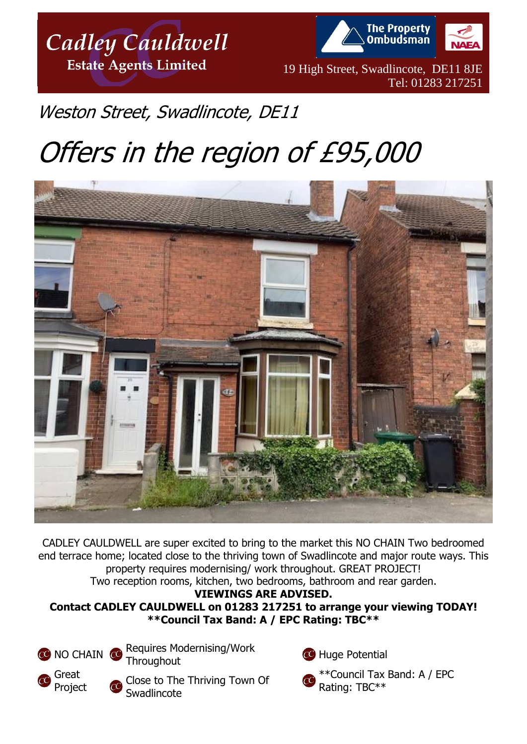

**The Property Ombudsman** 

19 High Street, Swadlincote, DE11 8JE Tel: 01283 217251

## Weston Street, Swadlincote, DE11

# Offers in the region of £95,000



CADLEY CAULDWELL are super excited to bring to the market this NO CHAIN Two bedroomed end terrace home; located close to the thriving town of Swadlincote and major route ways. This property requires modernising/ work throughout. GREAT PROJECT! Two reception rooms, kitchen, two bedrooms, bathroom and rear garden.

**VIEWINGS ARE ADVISED.** 

**Contact CADLEY CAULDWELL on 01283 217251 to arrange your viewing TODAY! \*\*Council Tax Band: A / EPC Rating: TBC\*\***



Great Project Requires Modernising/Work

**Throughout** 

Close to The Thriving Town Of Swadlincote

**CO** Huge Potential



\*\*Council Tax Band: A / EPC Rating: TBC\*\*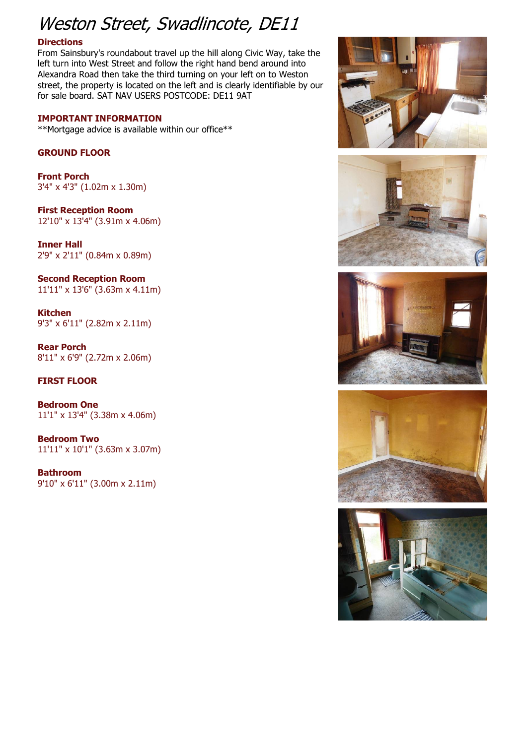## Weston Street, Swadlincote, DE11

#### **Directions**

From Sainsbury's roundabout travel up the hill along Civic Way, take the left turn into West Street and follow the right hand bend around into Alexandra Road then take the third turning on your left on to Weston street, the property is located on the left and is clearly identifiable by our for sale board. SAT NAV USERS POSTCODE: DE11 9AT

#### **IMPORTANT INFORMATION**

\*\*Mortgage advice is available within our office\*\*

#### **GROUND FLOOR**

**Front Porch** 3'4" x 4'3" (1.02m x 1.30m)

**First Reception Room** 12'10" x 13'4" (3.91m x 4.06m)

**Inner Hall** 2'9" x 2'11" (0.84m x 0.89m)

**Second Reception Room** 11'11" x 13'6" (3.63m x 4.11m)

**Kitchen** 9'3" x 6'11" (2.82m x 2.11m)

**Rear Porch** 8'11" x 6'9" (2.72m x 2.06m)

### **FIRST FLOOR**

**Bedroom One** 11'1" x 13'4" (3.38m x 4.06m)

**Bedroom Two** 11'11" x 10'1" (3.63m x 3.07m)

**Bathroom** 9'10" x 6'11" (3.00m x 2.11m)